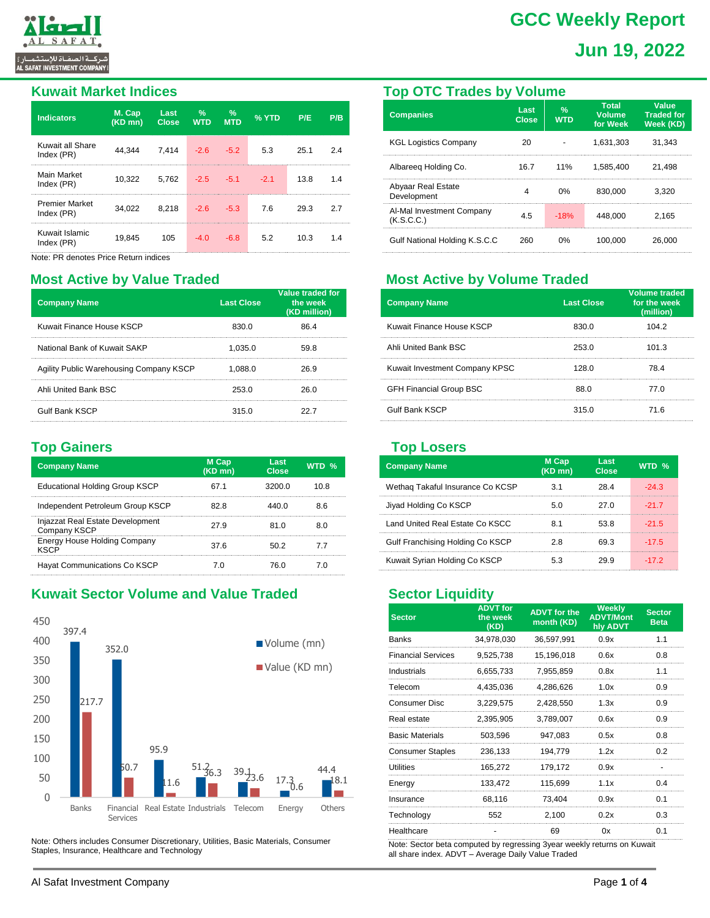

# **GCC Weekly Report Jun 19, 2022**

#### **Kuwait Market Indices**

| <b>Indicators</b>                   | M. Cap<br>$(KD \text{ mn})$ | Last<br><b>Close</b> | $\%$<br><b>WTD</b> | $\%$<br><b>MTD</b> | $\sqrt{2}$ YTD | P/E  | P/B |
|-------------------------------------|-----------------------------|----------------------|--------------------|--------------------|----------------|------|-----|
| Kuwait all Share<br>Index (PR)      | 44.344                      | 7,414                | $-2.6$             | $-5.2$             | 5.3            | 25.1 |     |
| Main Market<br>Index (PR)           | 10,322                      | 5,762                | $-2.5 - 5.1$       |                    | $-2.1$         | 13.8 | 14  |
| <b>Premier Market</b><br>Index (PR) | 34.022                      | 8,218                | $-2.6$             | $-5.3$             | 7.6            | 29.3 | 27  |
| Kuwait Islamic<br>Index (PR)        | 19.845                      | 105                  | -4 N               | -6.8               | 5.2            | 10.3 |     |

Note: PR denotes Price Return indices

### **Most Active by Value Traded**

| <b>Company Name</b>                     | <b>Last Close</b> | Value traded for<br>the week<br>(KD million) |
|-----------------------------------------|-------------------|----------------------------------------------|
| Kuwait Finance House KSCP               | 830.0             | 86.4                                         |
| National Bank of Kuwait SAKP            | 1.035.0           | 59.8                                         |
| Agility Public Warehousing Company KSCP | 1.088.0           | 26.9                                         |
| Ahli United Bank BSC                    | 253.0             | 26 O                                         |
| <b>Gulf Bank KSCP</b>                   | 315.0             |                                              |

### **Top Gainers**

| <b>Company Name</b>                              | M Cap<br>$(KD \overline{mn})$ | Last<br>Close | WTD $\%$ |
|--------------------------------------------------|-------------------------------|---------------|----------|
| <b>Educational Holding Group KSCP</b>            | 67 1                          | 3200 O        | 10.8     |
| Independent Petroleum Group KSCP                 | 82 S                          |               | 86       |
| Injazzat Real Estate Development<br>Company KSCP | 27.9                          |               |          |
| Energy House Holding Company<br>KSCF             | 37 R                          |               | 77       |
| Hayat Communications Co KSCP                     |                               | 76 N          |          |

# **Kuwait Sector Volume and Value Traded**



Note: Others includes Consumer Discretionary, Utilities, Basic Materials, Consumer Staples, Insurance, Healthcare and Technology

#### **Top OTC Trades by Volume**

| <b>Companies</b>                        | Last<br><b>Close</b> | $\frac{9}{6}$<br><b>WTD</b> | <b>Total</b><br><b>Volume</b><br>for Week | Value<br><b>Traded for</b><br>Week (KD) |
|-----------------------------------------|----------------------|-----------------------------|-------------------------------------------|-----------------------------------------|
| <b>KGL Logistics Company</b>            | 20                   |                             | 1.631.303                                 | 31.343                                  |
| Albareeg Holding Co.                    | 16.7                 | 11%                         | 1.585.400                                 | 21.498                                  |
| Abyaar Real Estate<br>Development       |                      | ሰ%                          | 830,000                                   | 3.320                                   |
| Al-Mal Investment Company<br>(K.S.C.C.) | 45                   | $-18%$                      | 448.000                                   | 2.165                                   |
| Gulf National Holding K.S.C.C.          | 260                  | በ%                          | 100.000                                   | 26.000                                  |

# **Most Active by Volume Traded**

| <b>Company Name</b>            | <b>Last Close</b> | <b>Volume traded</b><br>for the week<br>(million) |
|--------------------------------|-------------------|---------------------------------------------------|
| Kuwait Finance House KSCP      | 830 O             | 1042                                              |
| Ahli United Bank BSC           | 253.0             | 101.3                                             |
| Kuwait Investment Company KPSC | 128 በ             | 78 4                                              |
| <b>GFH Financial Group BSC</b> | 88 O              | 77 N                                              |
| <b>Gulf Bank KSCP</b>          | 315.0             | 71 R                                              |

#### **Top Losers**

| <b>Company Name</b>              | M Cap<br>(KD mn) | Last<br>Close | WTD $%$ |
|----------------------------------|------------------|---------------|---------|
| Wethaq Takaful Insurance Co KCSP | 31               | 28.4          | $-24.3$ |
| Jiyad Holding Co KSCP            | 50               | 27 O          | $-217$  |
| Land United Real Estate Co KSCC  | 81               | 538           | $-21.5$ |
| Gulf Franchising Holding Co KSCP | 28               | 69.3          | $-17.5$ |
| Kuwait Syrian Holding Co KSCP    | 53               | 29 g          | $-172$  |

# **Sector Liquidity**

| <b>Sector</b>             | <b>ADVT</b> for<br>the week<br>(KD) | <b>ADVT</b> for the<br>month (KD) | <b>Weekly</b><br><b>ADVT/Mont</b><br>hly ADVT | <b>Sector</b><br><b>Beta</b> |
|---------------------------|-------------------------------------|-----------------------------------|-----------------------------------------------|------------------------------|
| <b>Banks</b>              | 34,978,030                          | 36,597,991                        | 0.9x                                          | 1.1                          |
| <b>Financial Services</b> | 9,525,738                           | 15,196,018                        | 0.6x                                          | 0.8                          |
| Industrials               | 6,655,733                           | 7,955,859                         | 0.8x                                          | 1.1                          |
| Telecom                   | 4.435.036                           | 4.286.626                         | 1.0x                                          | 0.9                          |
| Consumer Disc             | 3,229,575                           | 2,428,550                         | 1.3x                                          | 0.9                          |
| Real estate               | 2.395.905                           | 3.789.007                         | 0.6x                                          | 0.9                          |
| <b>Basic Materials</b>    | 503,596                             | 947,083                           | 0.5x                                          | 0.8                          |
| <b>Consumer Staples</b>   | 236.133                             | 194.779                           | 1.2x                                          | 0.2                          |
| <b>Utilities</b>          | 165,272                             | 179,172                           | 0.9x                                          |                              |
| Energy                    | 133,472                             | 115,699                           | 1.1x                                          | 04                           |
| Insurance                 | 68,116                              | 73,404                            | 0.9x                                          | 0.1                          |
| Technology                | 552                                 | 2.100                             | 0.2x                                          | 0.3                          |
| Healthcare                |                                     | 69                                | 0x                                            | 0.1                          |
|                           |                                     |                                   |                                               |                              |

Note: Sector beta computed by regressing 3year weekly returns on Kuwait all share index. ADVT – Average Daily Value Traded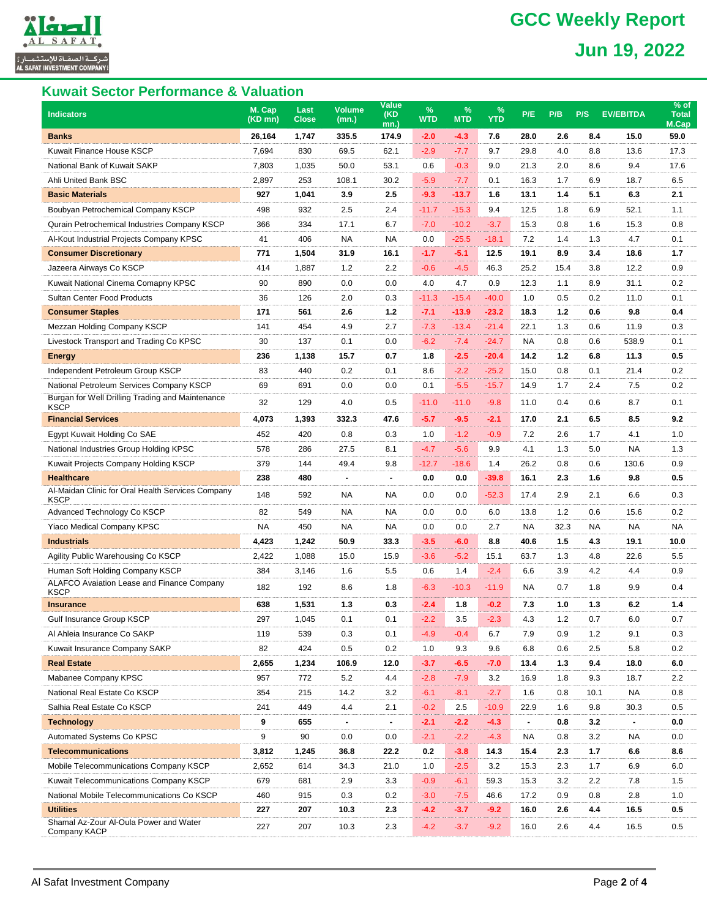# **Tianalli** .<br>ركــة الصفـاة للإستثمــار ءّ<br>AL SAFAT INVESTMENT COMPAN

# **GCC Weekly Report Jun 19, 2022**

### **Kuwait Sector Performance & Valuation**

| <b>Indicators</b>                                                | M. Cap<br>$(KD$ mn) | Last<br><b>Close</b> | <b>Volume</b><br>(mn.) | <b>Value</b><br>(KD<br>$mn.$ ) | $\%$<br><b>WTD</b> | %<br><b>MTD</b> | %<br><b>YTD</b> | P/E            | P/B   | P/S       | <b>EV/EBITDA</b> | % of<br><b>Total</b><br>M.Cap |
|------------------------------------------------------------------|---------------------|----------------------|------------------------|--------------------------------|--------------------|-----------------|-----------------|----------------|-------|-----------|------------------|-------------------------------|
| <b>Banks</b>                                                     | 26,164              | 1,747                | 335.5                  | 174.9                          | $-2.0$             | -4.3            | 7.6             | 28.0           | 2.6   | 8.4       | 15.0             | 59.0                          |
| Kuwait Finance House KSCP                                        | 7,694               | 830                  | 69.5                   | 62.1                           | $-2.9$             | $-7.7$          | 9.7             | 29.8           | 4.0   | 8.8       | 13.6             | 17.3                          |
| National Bank of Kuwait SAKP                                     | 7,803               | 1,035                | 50.0                   | 53.1                           | 0.6                | $-0.3$          | 9.0             | 21.3           | 2.0   | 8.6       | 9.4              | 17.6                          |
| Ahli United Bank BSC                                             | 2,897               | 253                  | 108.1                  | 30.2                           | $-5.9$             | $-7.7$          | 0.1             | 16.3           | 1.7   | 6.9       | 18.7             | 6.5                           |
| <b>Basic Materials</b>                                           | 927                 | 1,041                | 3.9                    | 2.5                            | $-9.3$             | -13.7           | 1.6             | 13.1           | 1.4   | 5.1       | 6.3              | 2.1                           |
| Boubyan Petrochemical Company KSCP                               | 498                 | 932                  | 2.5                    | 2.4                            | $-11.7$            | $-15.3$         | 9.4             | 12.5           | 1.8   | 6.9       | 52.1             | 1.1                           |
| Qurain Petrochemical Industries Company KSCP                     | 366                 | 334                  | 17.1                   | 6.7                            | $-7.0$             | $-10.2$         | $-3.7$          | 15.3           | 0.8   | 1.6       | 15.3             | 0.8                           |
| Al-Kout Industrial Projects Company KPSC                         | 41                  | 406                  | <b>NA</b>              | <b>NA</b>                      | 0.0                | $-25.5$         | $-18.1$         | 7.2            | 1.4   | 1.3       | 4.7              | 0.1                           |
| <b>Consumer Discretionary</b>                                    | 771                 | 1,504                | 31.9                   | 16.1                           | $-1.7$             | $-5.1$          | 12.5            | 19.1           | 8.9   | 3.4       | 18.6             | 1.7                           |
| Jazeera Airways Co KSCP                                          | 414                 | 1,887                | 1.2                    | 2.2                            | $-0.6$             | $-4.5$          | 46.3            | 25.2           | 15.4  | 3.8       | 12.2             | 0.9                           |
| Kuwait National Cinema Comapny KPSC                              | 90                  | 890                  | 0.0                    | 0.0                            | 4.0                | 4.7             | 0.9             | 12.3           | 1.1   | 8.9       | 31.1             | 0.2                           |
| Sultan Center Food Products                                      | 36                  | 126                  | 2.0                    | 0.3                            | $-11.3$            | $-15.4$         | $-40.0$         | 1.0            | 0.5   | 0.2       | 11.0             | 0.1                           |
| <b>Consumer Staples</b>                                          | 171                 | 561                  | 2.6                    | $1.2$                          | $-7.1$             | $-13.9$         | $-23.2$         | 18.3           | $1.2$ | 0.6       | 9.8              | 0.4                           |
| Mezzan Holding Company KSCP                                      | 141                 | 454                  | 4.9                    | 2.7                            | $-7.3$             | $-13.4$         | $-21.4$         | 22.1           | 1.3   | 0.6       | 11.9             | 0.3                           |
| Livestock Transport and Trading Co KPSC                          | 30                  | 137                  | 0.1                    | 0.0                            | $-6.2$             | $-7.4$          | $-24.7$         | <b>NA</b>      | 0.8   | 0.6       | 538.9            | 0.1                           |
| <b>Energy</b>                                                    | 236                 | 1,138                | 15.7                   | 0.7                            | 1.8                | $-2.5$          | $-20.4$         | 14.2           | $1.2$ | 6.8       | 11.3             | 0.5                           |
| Independent Petroleum Group KSCP                                 | 83                  | 440                  | 0.2                    | 0.1                            | 8.6                | $-2.2$          | $-25.2$         | 15.0           | 0.8   | 0.1       | 21.4             | 0.2                           |
| National Petroleum Services Company KSCP                         | 69                  | 691                  | 0.0                    | 0.0                            | 0.1                | $-5.5$          | $-15.7$         | 14.9           | 1.7   | 2.4       | 7.5              | 0.2                           |
| Burgan for Well Drilling Trading and Maintenance<br><b>KSCP</b>  | 32                  | 129                  | 4.0                    | 0.5                            | $-11.0$            | $-11.0$         | $-9.8$          | 11.0           | 0.4   | 0.6       | 8.7              | 0.1                           |
| <b>Financial Services</b>                                        | 4,073               | 1,393                | 332.3                  | 47.6                           | $-5.7$             | $-9.5$          | $-2.1$          | 17.0           | 2.1   | 6.5       | 8.5              | 9.2                           |
| Egypt Kuwait Holding Co SAE                                      | 452                 | 420                  | 0.8                    | 0.3                            | 1.0                | $-1.2$          | $-0.9$          | 7.2            | 2.6   | 1.7       | 4.1              | 1.0                           |
| National Industries Group Holding KPSC                           | 578                 | 286                  | 27.5                   | 8.1                            | $-4.7$             | $-5.6$          | 9.9             | 4.1            | 1.3   | 5.0       | <b>NA</b>        | 1.3                           |
| Kuwait Projects Company Holding KSCP                             | 379                 | 144                  | 49.4                   | 9.8                            | $-12.7$            | $-18.6$         | 1.4             | 26.2           | 0.8   | 0.6       | 130.6            | 0.9                           |
| <b>Healthcare</b>                                                | 238                 | 480                  | $\blacksquare$         | $\blacksquare$                 | 0.0                | 0.0             | $-39.8$         | 16.1           | 2.3   | 1.6       | 9.8              | 0.5                           |
| Al-Maidan Clinic for Oral Health Services Company<br><b>KSCP</b> | 148                 | 592                  | <b>NA</b>              | <b>NA</b>                      | 0.0                | 0.0             | $-52.3$         | 17.4           | 2.9   | 2.1       | 6.6              | 0.3                           |
| Advanced Technology Co KSCP                                      | 82                  | 549                  | <b>NA</b>              | <b>NA</b>                      | 0.0                | 0.0             | 6.0             | 13.8           | 1.2   | 0.6       | 15.6             | 0.2                           |
| Yiaco Medical Company KPSC                                       | <b>NA</b>           | 450                  | <b>NA</b>              | <b>NA</b>                      | 0.0                | 0.0             | 2.7             | NA             | 32.3  | <b>NA</b> | <b>NA</b>        | NA                            |
| <b>Industrials</b>                                               | 4,423               | 1,242                | 50.9                   | 33.3                           | $-3.5$             | $-6.0$          | 8.8             | 40.6           | 1.5   | 4.3       | 19.1             | 10.0                          |
| Agility Public Warehousing Co KSCP                               | 2,422               | 1,088                | 15.0                   | 15.9                           | $-3.6$             | $-5.2$          | 15.1            | 63.7           | 1.3   | 4.8       | 22.6             | 5.5                           |
| Human Soft Holding Company KSCP                                  | 384                 | 3,146                | 1.6                    | 5.5                            | 0.6                | 1.4             | $-2.4$          | 6.6            | 3.9   | 4.2       | 4.4              | 0.9                           |
| ALAFCO Avaiation Lease and Finance Company<br><b>KSCP</b>        | 182                 | 192                  | 8.6                    | 1.8                            | $-6.3$             | $-10.3$         | $-11.9$         | NA             | 0.7   | 1.8       | 9.9              | 0.4                           |
| <b>Insurance</b>                                                 | 638                 | 1,531                | 1.3                    | 0.3                            | $-2.4$             | 1.8             | $-0.2$          | 7.3            | 1.0   | 1.3       | 6.2              | 1.4                           |
| Gulf Insurance Group KSCP                                        | 297                 | 1,045                | 0.1                    | 0.1                            | $-2.2$             | 3.5             | $-2.3$          | 4.3            | 1.2   | 0.7       | 6.0              | 0.7                           |
| Al Ahleia Insurance Co SAKP                                      | 119                 | 539                  | 0.3                    | 0.1                            | $-4.9$             | $-0.4$          | 6.7             | 7.9            | 0.9   | 1.2       | 9.1              | 0.3                           |
| Kuwait Insurance Company SAKP                                    | 82                  | 424                  | 0.5                    | 0.2                            | 1.0                | 9.3             | 9.6             | 6.8            | 0.6   | 2.5       | 5.8              | 0.2                           |
| <b>Real Estate</b>                                               | 2,655               | 1,234                | 106.9                  | 12.0                           | $-3.7$             | $-6.5$          | $-7.0$          | 13.4           | 1.3   | 9.4       | 18.0             | 6.0                           |
| Mabanee Company KPSC                                             | 957                 | 772                  | 5.2                    | 4.4                            | $-2.8$             | $-7.9$          | 3.2             | 16.9           | 1.8   | 9.3       | 18.7             | 2.2                           |
| National Real Estate Co KSCP                                     | 354                 | 215                  | 14.2                   | 3.2                            | $-6.1$             | $-8.1$          | $-2.7$          | 1.6            | 0.8   | 10.1      | NA               | 0.8                           |
| Salhia Real Estate Co KSCP                                       | 241                 | 449                  | 4.4                    | 2.1                            | $-0.2$             | 2.5             | $-10.9$         | 22.9           | 1.6   | 9.8       | 30.3             | 0.5                           |
| <b>Technology</b>                                                | 9                   | 655                  | $\blacksquare$         | $\blacksquare$                 | $-2.1$             | $-2.2$          | $-4.3$          | $\blacksquare$ | 0.8   | 3.2       | $\blacksquare$   | 0.0                           |
| Automated Systems Co KPSC                                        | 9                   | 90                   | 0.0                    | 0.0                            | $-2.1$             | $-2.2$          | $-4.3$          | NA             | 0.8   | 3.2       | NA               | 0.0                           |
| <b>Telecommunications</b>                                        | 3,812               | 1,245                | 36.8                   | 22.2                           | 0.2                | $-3.8$          | 14.3            | 15.4           | 2.3   | 1.7       | 6.6              | 8.6                           |
| Mobile Telecommunications Company KSCP                           | 2,652               | 614                  | 34.3                   | 21.0                           | 1.0                | $-2.5$          | 3.2             | 15.3           | 2.3   | 1.7       | 6.9              | 6.0                           |
| Kuwait Telecommunications Company KSCP                           | 679                 | 681                  | 2.9                    | 3.3                            | $-0.9$             | $-6.1$          | 59.3            | 15.3           | 3.2   | 2.2       | 7.8              | 1.5                           |
| National Mobile Telecommunications Co KSCP                       | 460                 | 915                  | 0.3                    | 0.2                            | $-3.0$             | $-7.5$          | 46.6            | 17.2           | 0.9   | 0.8       | 2.8              | 1.0                           |
| <b>Utilities</b>                                                 | 227                 | 207                  | 10.3                   | 2.3                            | $-4.2$             | $-3.7$          | $-9.2$          | 16.0           | 2.6   | 4.4       | 16.5             | 0.5                           |
| Shamal Az-Zour Al-Oula Power and Water<br>Company KACP           | 227                 | 207                  | 10.3                   | 2.3                            | $-4.2$             | $-3.7$          | $-9.2$          | 16.0           | 2.6   | 4.4       | 16.5             | 0.5                           |
|                                                                  |                     |                      |                        |                                |                    |                 |                 |                |       |           |                  |                               |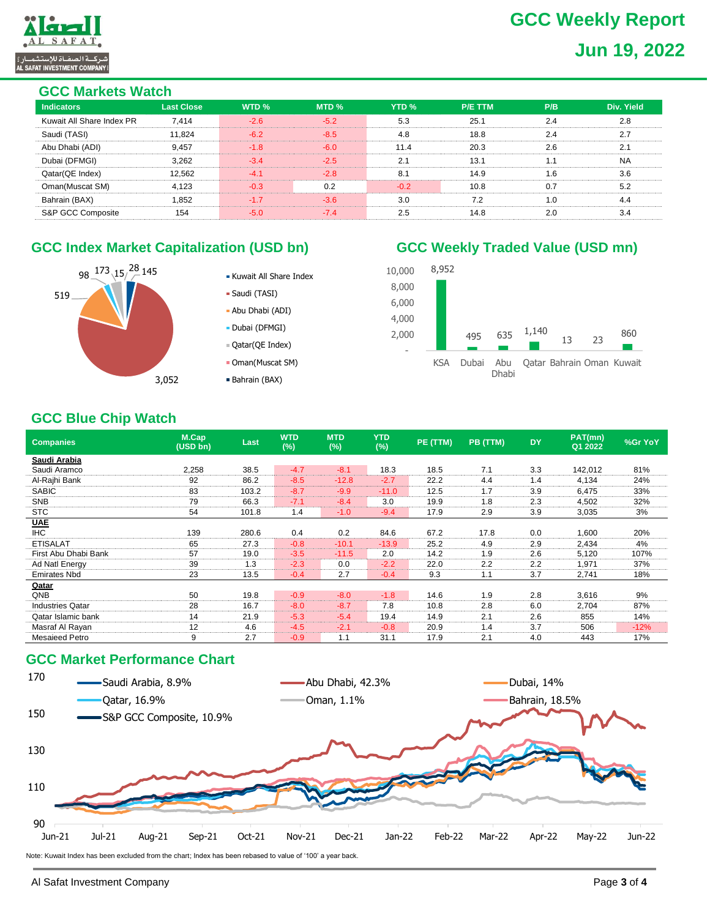# **GCC Weekly Report Jun 19, 2022**



#### **GCC Markets Watch**

| ovo markuu muuni          |                   |        |        |                  |                |     |            |  |  |  |
|---------------------------|-------------------|--------|--------|------------------|----------------|-----|------------|--|--|--|
| <b>Indicators</b>         | <b>Last Close</b> | WTD %  | MTD %  | YTD <sub>%</sub> | <b>P/E TTM</b> | P/B | Div. Yield |  |  |  |
| Kuwait All Share Index PR | 7.414             | $-2.6$ | $-5.2$ | 5.3              | 25.1           | 2.4 | 2.8        |  |  |  |
| Saudi (TASI)              | 11.824            | $-6.2$ | $-8.5$ | 4.8              | 18.8           | 2.4 | 2.7        |  |  |  |
| Abu Dhabi (ADI)           | 9,457             | $-1.8$ | $-6.0$ | 11.4             | 20.3           | 2.6 | 2.1        |  |  |  |
| Dubai (DFMGI)             | 3.262             | $-3.4$ | $-2.5$ | 2.1              | 13.1           | 1.1 | <b>NA</b>  |  |  |  |
| Qatar(QE Index)           | 12.562            | $-4.1$ | $-2.8$ | 8.1              | 14.9           | 1.6 | 3.6        |  |  |  |
| Oman(Muscat SM)           | 4,123             | $-0.3$ | 0.2    | $-0.2$           | 10.8           | 0.7 | 5.2        |  |  |  |
| Bahrain (BAX)             | 1.852             | $-1.7$ | $-3.6$ | 3.0              | 7.2            | 1.0 | 4.4        |  |  |  |
| S&P GCC Composite         | 154               | $-5.0$ | $-7.4$ | 2.5              | 14.8           | 2.0 | 3.4        |  |  |  |
|                           |                   |        |        |                  |                |     |            |  |  |  |

# GCC Index Market Capitalization (USD bn) **GCC Weekly Traded Value (USD mn)**



- Kuwait All Share Index
- Saudi (TASI)
- Abu Dhabi (ADI)
- Dubai (DFMGI)
- Qatar(QE Index)
- Oman(Muscat SM)
- Bahrain (BAX)

#### 8,952 8,000 10,000



# **GCC Blue Chip Watch**

| <b>Companies</b>        | M.Cap<br>(USD bn) | Last  | <b>WTD</b><br>(%) | <b>MTD</b><br>(%) | <b>YTD</b><br>(%) | PE (TTM) | PB (TTM) | <b>DY</b> | PAT(mn)<br>Q1 2022 | %Gr YoY |
|-------------------------|-------------------|-------|-------------------|-------------------|-------------------|----------|----------|-----------|--------------------|---------|
| Saudi Arabia            |                   |       |                   |                   |                   |          |          |           |                    |         |
| Saudi Aramco            | 2,258             | 38.5  | $-4.7$            | $-8.1$            | 18.3              | 18.5     | 7.1      | 3.3       | 142,012            | 81%     |
| Al-Rajhi Bank           | 92                | 86.2  | $-8.5$            | $-12.8$           | $-2.7$            | 22.2     | 4.4      | 1.4       | 4,134              | 24%     |
| <b>SABIC</b>            | 83                | 103.2 | $-8.7$            | $-9.9$            | $-11.0$           | 12.5     | 1.7      | 3.9       | 6.475              | 33%     |
| <b>SNB</b>              | 79                | 66.3  | $-7.1$            | $-8.4$            | 3.0               | 19.9     | 1.8      | 2.3       | 4,502              | 32%     |
| <b>STC</b>              | 54                | 101.8 | 1.4               | $-1.0$            | $-9.4$            | 17.9     | 2.9      | 3.9       | 3,035              | 3%      |
| <b>UAE</b>              |                   |       |                   |                   |                   |          |          |           |                    |         |
| <b>IHC</b>              | 139               | 280.6 | 0.4               | 0.2               | 84.6              | 67.2     | 17.8     | 0.0       | 1,600              | 20%     |
| <b>ETISALAT</b>         | 65                | 27.3  | $-0.8$            | $-10.1$           | $-13.9$           | 25.2     | 4.9      | 2.9       | 2,434              | 4%      |
| First Abu Dhabi Bank    | 57                | 19.0  | $-3.5$            | $-11.5$           | 2.0               | 14.2     | 1.9      | 2.6       | 5,120              | 107%    |
| Ad Natl Energy          | 39                | 1.3   | $-2.3$            | 0.0               | $-2.2$            | 22.0     | 2.2      | 2.2       | 1,971              | 37%     |
| <b>Emirates Nbd</b>     | 23                | 13.5  | $-0.4$            | 2.7               | $-0.4$            | 9.3      | 1.1      | 3.7       | 2,741              | 18%     |
| Qatar                   |                   |       |                   |                   |                   |          |          |           |                    |         |
| QNB                     | 50                | 19.8  | $-0.9$            | $-8.0$            | $-1.8$            | 14.6     | 1.9      | 2.8       | 3,616              | 9%      |
| <b>Industries Qatar</b> | 28                | 16.7  | $-8.0$            | $-8.7$            | 7.8               | 10.8     | 2.8      | 6.0       | 2,704              | 87%     |
| Qatar Islamic bank      | 14                | 21.9  | $-5.3$            | $-5.4$            | 19.4              | 14.9     | 2.1      | 2.6       | 855                | 14%     |
| Masraf Al Rayan         | 12                | 4.6   | $-4.5$            | $-2.1$            | $-0.8$            | 20.9     | 1.4      | 3.7       | 506                | $-12%$  |
| <b>Mesaieed Petro</b>   | 9                 | 2.7   | $-0.9$            | 1.1               | 31.1              | 17.9     | 2.1      | 4.0       | 443                | 17%     |

### **GCC Market Performance Chart**